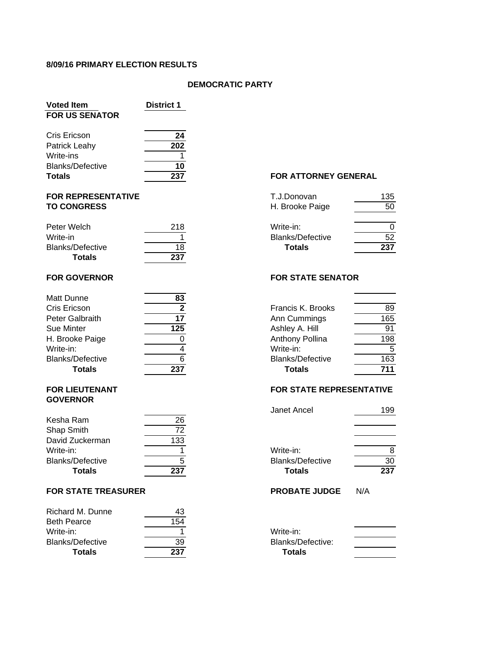#### **8/09/16 PRIMARY ELECTION RESULTS**

#### **DEMOCRATIC PARTY**

| <b>Voted Item</b><br><b>FOR US SENATOR</b>                                             | <b>District 1</b>                                 |                                                                                                  |  |
|----------------------------------------------------------------------------------------|---------------------------------------------------|--------------------------------------------------------------------------------------------------|--|
| Cris Ericson<br>Patrick Leahy<br>Write-ins<br><b>Blanks/Defective</b><br><b>Totals</b> | 24<br>$\overline{202}$<br>$\overline{10}$<br>237  | FOR ATTORNEY GENERAL                                                                             |  |
| <b>FOR REPRESENTATIVE</b><br><b>TO CONGRESS</b>                                        |                                                   | T.J.Donovan<br>135<br>50<br>H. Brooke Paige                                                      |  |
| Peter Welch<br>Write-in<br><b>Blanks/Defective</b><br><b>Totals</b>                    | 218<br>18<br>237                                  | Write-in:<br>0<br>52<br><b>Blanks/Defective</b><br>237<br><b>Totals</b>                          |  |
| <b>FOR GOVERNOR</b>                                                                    |                                                   | <b>FOR STATE SENATOR</b>                                                                         |  |
| <b>Matt Dunne</b><br>Cris Ericson<br>Peter Galbraith<br>Sue Minter<br>H. Brooke Paige  | 83<br>$\mathbf{2}$<br>$\overline{17}$<br>125<br>0 | Francis K. Brooks<br>89<br>165<br>Ann Cummings<br>91<br>Ashley A. Hill<br>198<br>Anthony Pollina |  |
| Write-in:                                                                              | Δ                                                 | Write-in:<br>5                                                                                   |  |

# **GOVERNOR**

| Kesha Ram               | 26  |                         |     |
|-------------------------|-----|-------------------------|-----|
| Shap Smith              | 70  |                         |     |
| David Zuckerman         | 133 |                         |     |
| Write-in:               |     | Write-in:               |     |
| <b>Blanks/Defective</b> |     | <b>Blanks/Defective</b> | 30  |
| <b>Totals</b>           | 237 | <b>Totals</b>           | 237 |

#### **FOR STATE TREASURER PROBATE IN A PROBATE**  $\mathbf{P}$

| Richard M. Dunne        | 43  |                   |
|-------------------------|-----|-------------------|
| <b>Beth Pearce</b>      | 154 |                   |
| Write-in:               |     | Write-in:         |
| <b>Blanks/Defective</b> | 39  | Blanks/Defective: |
| Totals                  | 237 | Totals            |

## **FOR ATTORNEY GENERAL**

| <b>Totals</b>    | 237 |
|------------------|-----|
| Blanks/Defective | 52  |
| Write-in:        |     |
|                  |     |
| H. Brooke Paige  | 50  |
| T.J.Donovan      | 135 |
|                  |     |

# **FOR STATE SENATOR**

|                         | <u>vv</u> |                         |     |  |
|-------------------------|-----------|-------------------------|-----|--|
| Cris Ericson            |           | Francis K. Brooks       | 89  |  |
| Peter Galbraith         |           | Ann Cummings            | 165 |  |
| Sue Minter              | 125       | Ashley A. Hill          | 91  |  |
| H. Brooke Paige         |           | Anthony Pollina         | 198 |  |
| Write-in:               |           | Write-in:               |     |  |
| <b>Blanks/Defective</b> |           | <b>Blanks/Defective</b> | 163 |  |
| <b>Totals</b>           | 237       | <b>Totals</b>           | 711 |  |
|                         |           |                         |     |  |

# **FOR LIEUTENANT FOR STATE REPRESENTATIVE**

|                       |     | Janet Ancel             | 199 |  |
|-----------------------|-----|-------------------------|-----|--|
| Ram                   | 26  |                         |     |  |
| mith                  | 72  |                         |     |  |
| zuckerman             | 133 |                         |     |  |
| ۱:                    |     | Write-in:               |     |  |
| Defective             | 5   | <b>Blanks/Defective</b> | 30  |  |
| Totals                | 237 | <b>Totals</b>           | 237 |  |
| <b>TATE TREASURER</b> |     | <b>PROBATE JUDGE</b>    | N/A |  |
| I M. Dunne            | 43  |                         |     |  |
| ∩חבי                  | 154 |                         |     |  |

| Write-in:         |  |
|-------------------|--|
| Blanks/Defective: |  |
| <b>Totals</b>     |  |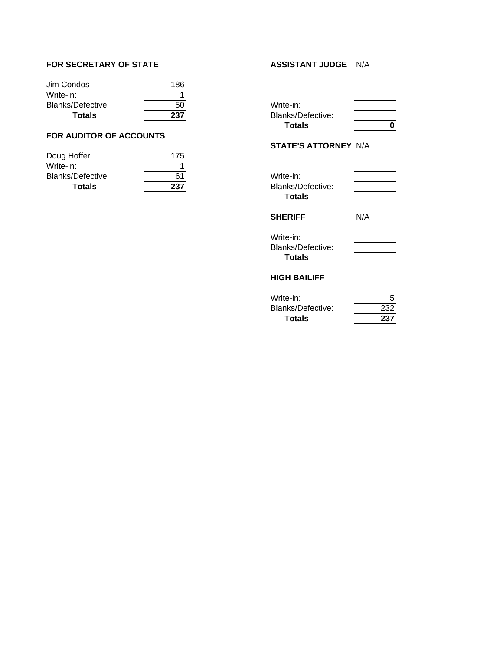#### **FOR SECRETARY OF STATE ASSISTANT JUDGE** N/A

| Jim Condos              | 186 |                   |
|-------------------------|-----|-------------------|
| Write-in:               |     |                   |
| <b>Blanks/Defective</b> | 50  | Write-in:         |
| Totals                  | 237 | Blanks/Defective: |

# **FOR AUDITOR OF ACCOUNTS**

| Doug Hoffer             | 175 |                   |
|-------------------------|-----|-------------------|
| Write-in:               |     |                   |
| <b>Blanks/Defective</b> | 61  | Write-in:         |
| Totals                  | 237 | Blanks/Defective: |

| Write-in:         |  |
|-------------------|--|
| Blanks/Defective: |  |
| <b>Totals</b>     |  |

#### **STATE'S ATTORNEY** N/A

| Write-in:<br>Blanks/Defective:<br>Totals        |     |
|-------------------------------------------------|-----|
| <b>SHERIFF</b>                                  | N/A |
| Write-in:<br>Blanks/Defective:<br><b>Totals</b> |     |
| HIGH BAILIFF                                    |     |

# Write-in: 5<br>Blanks/Defective: 5<br>232 Blanks/Defective: 232<br>Totals 237  $Totals$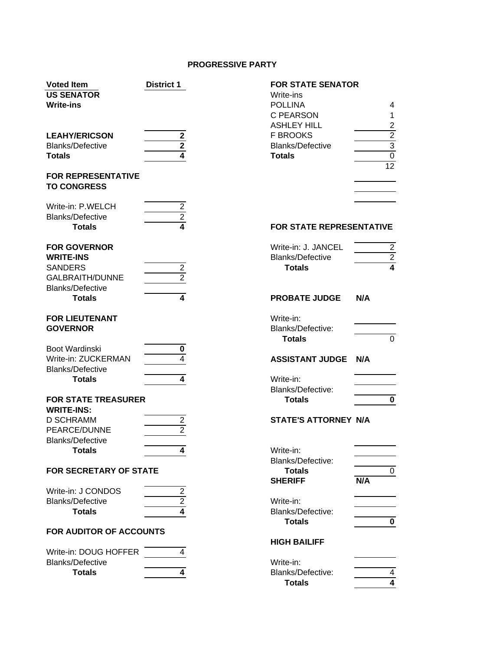# **PROGRESSIVE PARTY**

| <b>Voted Item</b><br><b>US SENATOR</b><br><b>Write-ins</b>          | <b>District 1</b>                        | <b>FOR STATE SENATOR</b><br>Write-ins<br><b>POLLINA</b><br>C PEARSON              | 4<br>$\mathbf{1}$                                  |
|---------------------------------------------------------------------|------------------------------------------|-----------------------------------------------------------------------------------|----------------------------------------------------|
| <b>LEAHY/ERICSON</b><br><b>Blanks/Defective</b><br><b>Totals</b>    | $\overline{\mathbf{2}}$<br>$\frac{2}{4}$ | <b>ASHLEY HILL</b><br><b>F BROOKS</b><br><b>Blanks/Defective</b><br><b>Totals</b> | $\overline{c}$<br>$\frac{2}{3}$<br>$\overline{12}$ |
| <b>FOR REPRESENTATIVE</b><br><b>TO CONGRESS</b>                     |                                          |                                                                                   |                                                    |
| Write-in: P.WELCH<br><b>Blanks/Defective</b>                        | $\frac{2}{2}$                            |                                                                                   |                                                    |
| <b>Totals</b>                                                       |                                          | FOR STATE REPRESENTATIVE                                                          |                                                    |
| <b>FOR GOVERNOR</b><br><b>WRITE-INS</b>                             |                                          | Write-in: J. JANCEL<br><b>Blanks/Defective</b>                                    | $\frac{2}{2}$                                      |
| <b>SANDERS</b><br><b>GALBRAITH/DUNNE</b><br><b>Blanks/Defective</b> | $\frac{2}{2}$                            | <b>Totals</b>                                                                     |                                                    |
| <b>Totals</b>                                                       | $\blacktriangle$                         | <b>PROBATE JUDGE</b>                                                              | N/A                                                |
| <b>FOR LIEUTENANT</b><br><b>GOVERNOR</b>                            |                                          | Write-in:<br>Blanks/Defective:                                                    |                                                    |
|                                                                     |                                          | <b>Totals</b>                                                                     | $\mathbf 0$                                        |
| Boot Wardinski<br>Write-in: ZUCKERMAN<br><b>Blanks/Defective</b>    | $\pmb{0}$<br>4                           | <b>ASSISTANT JUDGE</b>                                                            | N/A                                                |
| <b>Totals</b>                                                       | $\overline{4}$                           | Write-in:<br>Blanks/Defective:                                                    |                                                    |
| <b>FOR STATE TREASURER</b>                                          |                                          | <b>Totals</b>                                                                     | 0                                                  |
| <b>WRITE-INS:</b><br><b>D SCHRAMM</b><br>PEARCE/DUNNE               | $\overline{2}$<br>$\overline{2}$         | <b>STATE'S ATTORNEY N/A</b>                                                       |                                                    |
| <b>Blanks/Defective</b><br><b>Totals</b>                            | 4                                        | Write-in:<br>Blanks/Defective:                                                    |                                                    |
| <b>FOR SECRETARY OF STATE</b>                                       |                                          | <b>Totals</b>                                                                     | 0                                                  |
|                                                                     |                                          | <b>SHERIFF</b>                                                                    | N/A                                                |
| Write-in: J CONDOS                                                  | $\frac{2}{2}$                            |                                                                                   |                                                    |
| <b>Blanks/Defective</b>                                             | 4                                        | Write-in:                                                                         |                                                    |
| <b>Totals</b>                                                       |                                          | Blanks/Defective:<br><b>Totals</b>                                                | 0                                                  |
| FOR AUDITOR OF ACCOUNTS                                             |                                          |                                                                                   |                                                    |
|                                                                     |                                          | <b>HIGH BAILIFF</b>                                                               |                                                    |
| Write-in: DOUG HOFFER                                               | 4                                        |                                                                                   |                                                    |
| <b>Blanks/Defective</b>                                             |                                          | Write-in:                                                                         |                                                    |
| <b>Totals</b>                                                       | 4                                        | Blanks/Defective:                                                                 | 4                                                  |

| <b>FOR STATE SENATOR</b> |
|--------------------------|
|                          |
| 4                        |
| 1                        |
| 2                        |
| $\overline{2}$           |
| $\overline{3}$           |
| 0                        |
| 12                       |
|                          |
|                          |
|                          |
|                          |

# **TATE REPRESENTATIVE**

| Write-in: J. JANCEL |  |
|---------------------|--|
| Blanks/Defective    |  |
| <b>Totals</b>       |  |

| <b>PROBATE JUDGE</b> | N/A |  |
|----------------------|-----|--|
| Write-in:            |     |  |

| Blanks/Defective: |  |
|-------------------|--|
| <b>Totals</b>     |  |

#### **EXAMPLE A 2 AND FINAL 4 ASSISTED:**

| Write-in:         |  |
|-------------------|--|
| Blanks/Defective: |  |
| Totals            |  |
|                   |  |

### **S ATTORNEY N/A**

| Write-in:<br>Blanks/Defective:<br><b>Totals</b><br><b>SHERIFF</b> | N/A |
|-------------------------------------------------------------------|-----|
| Write-in:<br><b>Blanks/Defective:</b><br><b>Totals</b>            |     |
| <b>HIGH BAILIFF</b>                                               |     |

| //rite-in:        |  |
|-------------------|--|
| 3lanks/Defective: |  |
| Totals            |  |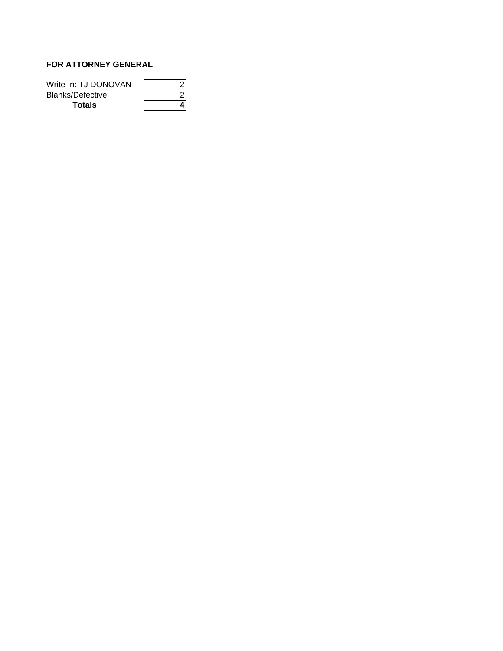# **FOR ATTORNEY GENERAL**

| Write-in: TJ DONOVAN |  |
|----------------------|--|
| Blanks/Defective     |  |
| <b>Totals</b>        |  |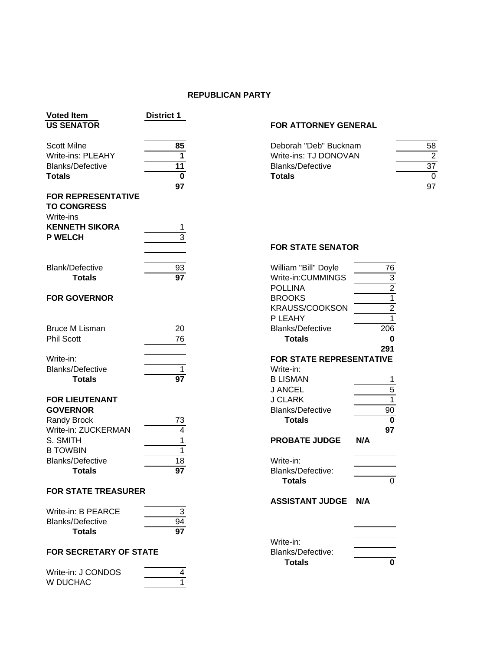#### **REPUBLICAN PARTY**

| <b>Voted Item</b><br><b>US SENATOR</b> | <b>District 1</b> |                                          |                |
|----------------------------------------|-------------------|------------------------------------------|----------------|
|                                        |                   | FOR ATTORNEY GENERAL                     |                |
| <b>Scott Milne</b>                     | 85                | Deborah "Deb" Bucknam                    | 5 <sub>o</sub> |
| <b>Write-ins: PLEAHY</b>               | $\mathbf 1$       | Write-ins: TJ DONOVAN                    |                |
| <b>Blanks/Defective</b>                | 11                | <b>Blanks/Defective</b>                  | $\overline{3}$ |
| <b>Totals</b>                          | $\mathbf 0$       | <b>Totals</b>                            |                |
|                                        | 97                |                                          | $9^{\circ}$    |
| <b>FOR REPRESENTATIVE</b>              |                   |                                          |                |
| <b>TO CONGRESS</b>                     |                   |                                          |                |
| Write-ins                              |                   |                                          |                |
| <b>KENNETH SIKORA</b>                  |                   |                                          |                |
| <b>P WELCH</b>                         | 3                 |                                          |                |
|                                        |                   | <b>FOR STATE SENATOR</b>                 |                |
|                                        |                   |                                          |                |
| <b>Blank/Defective</b>                 | 93                | 76<br>William "Bill" Doyle               |                |
| <b>Totals</b>                          | $\overline{97}$   | Write-in:CUMMINGS                        |                |
|                                        |                   | $\frac{3}{2}$<br><b>POLLINA</b>          |                |
| <b>FOR GOVERNOR</b>                    |                   | $\overline{1}$<br><b>BROOKS</b>          |                |
|                                        |                   | $\overline{2}$<br>KRAUSS/COOKSON         |                |
|                                        |                   | $\overline{1}$<br>P LEAHY                |                |
| <b>Bruce M Lisman</b>                  | 20                | 206<br><b>Blanks/Defective</b>           |                |
| <b>Phil Scott</b>                      | 76                | $\mathbf 0$<br><b>Totals</b>             |                |
|                                        |                   | 291                                      |                |
| Write-in:                              |                   | FOR STATE REPRESENTATIVE                 |                |
| <b>Blanks/Defective</b>                | 1                 | Write-in:                                |                |
| <b>Totals</b>                          | $\overline{97}$   | <b>B LISMAN</b><br>1                     |                |
|                                        |                   | $\overline{5}$<br><b>J ANCEL</b>         |                |
| <b>FOR LIEUTENANT</b>                  |                   | $\overline{1}$<br><b>J CLARK</b>         |                |
| <b>GOVERNOR</b>                        |                   | <b>Blanks/Defective</b><br>90            |                |
| <b>Randy Brock</b>                     | 73                | $\overline{\mathbf{0}}$<br><b>Totals</b> |                |
| Write-in: ZUCKERMAN                    | 4                 | 97                                       |                |
| S. SMITH                               | 1                 | <b>PROBATE JUDGE</b><br>N/A              |                |
| <b>B TOWBIN</b>                        | $\mathbf{1}$      |                                          |                |
| <b>Blanks/Defective</b>                | 18                | Write-in:                                |                |
| <b>Totals</b>                          | $\overline{97}$   | Blanks/Defective:                        |                |
|                                        |                   | Totals<br>0                              |                |
| <b>FOR STATE TREASURER</b>             |                   |                                          |                |
|                                        |                   | <b>ASSISTANT JUDGE</b><br>N/A            |                |
| Write-in: B PEARCE                     | $\sqrt{3}$        |                                          |                |
| <b>Blanks/Defective</b>                | 94                |                                          |                |
| <b>Totals</b>                          | $\overline{97}$   |                                          |                |
|                                        |                   | Write-in:                                |                |
| <b>FOR SECRETARY OF STATE</b>          |                   | Blanks/Defective:                        |                |
|                                        |                   | <b>Totals</b><br>0                       |                |
| Write-in: J CONDOS                     | 4                 |                                          |                |

W DUCHAC 1

#### **FOR ATTORNEY GENERAL**

| Scott Milne             |    | Deborah "Deb" Bucknam   | 58 |
|-------------------------|----|-------------------------|----|
| Write-ins: PLEAHY       |    | Write-ins: TJ DONOVAN   |    |
| <b>Blanks/Defective</b> |    | <b>Blanks/Defective</b> | 37 |
| Totals                  |    | <b>Totals</b>           |    |
|                         | 97 |                         | 97 |

# **FOR STATE SENATOR**

| William "Bill" Doyle            | 76                                        |
|---------------------------------|-------------------------------------------|
| Write-in:CUMMINGS               |                                           |
| <b>POLLINA</b>                  |                                           |
| <b>BROOKS</b>                   | $\frac{3}{2}$ $\frac{2}{1}$ $\frac{1}{2}$ |
| <b>KRAUSS/COOKSON</b>           |                                           |
| P LEAHY                         |                                           |
| <b>Blanks/Defective</b>         | 206                                       |
| <b>Totals</b>                   | 0                                         |
|                                 | 291                                       |
| <b>FOR STATE REPRESENTATIVE</b> |                                           |
| Write-in:                       |                                           |
| <b>B LISMAN</b>                 | 1                                         |
| J ANCEL                         | $\frac{5}{1}$                             |
| <b>J CLARK</b>                  |                                           |
| <b>Blanks/Defective</b>         | 90                                        |
| <b>Totals</b>                   | 0                                         |
|                                 | 97                                        |
| <b>PROBATE JUDGE</b>            | N/A                                       |
| Write-in:                       |                                           |
| <b>Blanks/Defective:</b>        |                                           |
| <b>Totals</b>                   | 0                                         |
| ASSISTANT JUDGE                 | N/A                                       |
|                                 |                                           |
|                                 |                                           |
| Write-in:                       |                                           |
| <b>Blanks/Defective:</b>        |                                           |
| <b>Totals</b>                   | 0                                         |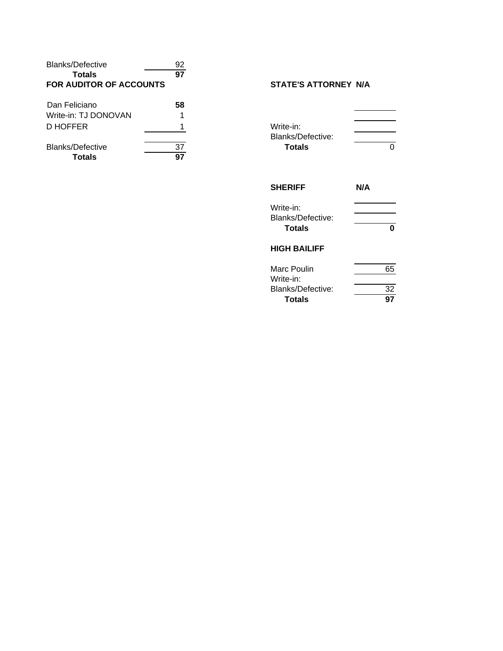| <b>Blanks/Defective</b>           | 92       |                                       |
|-----------------------------------|----------|---------------------------------------|
| <b>Totals</b>                     | 97       |                                       |
| FOR AUDITOR OF ACCOUNTS           |          | <b>STATE'S ATTORNEY N/A</b>           |
| Dan Feliciano                     | 58       |                                       |
| Write-in: TJ DONOVAN              |          |                                       |
| D HOFFER                          |          | Write-in:<br><b>Blanks/Defective:</b> |
| <b>Blanks/Defective</b><br>Totals | 37<br>97 | <b>Totals</b>                         |

# **STATE'S ATTORNEY N/A**

| O              |
|----------------|
| N/A            |
| n              |
|                |
| 65<br>32<br>97 |
|                |